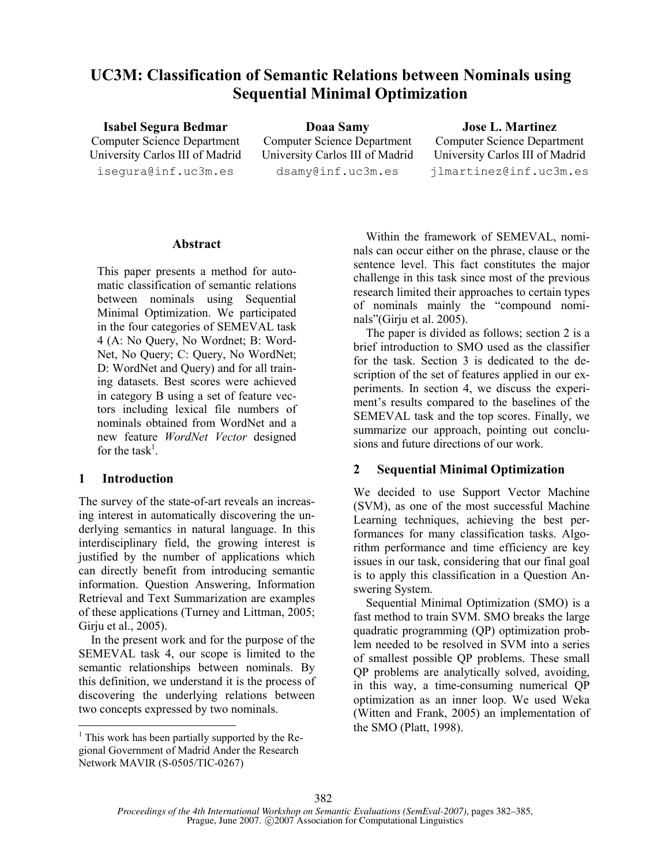# UC3M: Classification of Semantic Relations between Nominals using Sequential Minimal Optimization

Isabel Segura Bedmar Computer Science Department University Carlos III of Madrid isegura@inf.uc3m.es

Doaa Samy Computer Science Department University Carlos III of Madrid dsamy@inf.uc3m.es

Jose L. Martinez Computer Science Department University Carlos III of Madrid jlmartinez@inf.uc3m.es

#### Abstract

This paper presents a method for automatic classification of semantic relations between nominals using Sequential Minimal Optimization. We participated in the four categories of SEMEVAL task 4 (A: No Query, No Wordnet; B: Word-Net, No Query; C: Query, No WordNet; D: WordNet and Query) and for all training datasets. Best scores were achieved in category B using a set of feature vectors including lexical file numbers of nominals obtained from WordNet and a new feature WordNet Vector designed for the task<sup>1</sup>.

## 1 Introduction

-

The survey of the state-of-art reveals an increasing interest in automatically discovering the underlying semantics in natural language. In this interdisciplinary field, the growing interest is justified by the number of applications which can directly benefit from introducing semantic information. Question Answering, Information Retrieval and Text Summarization are examples of these applications (Turney and Littman, 2005; Girju et al., 2005).

In the present work and for the purpose of the SEMEVAL task 4, our scope is limited to the semantic relationships between nominals. By this definition, we understand it is the process of discovering the underlying relations between two concepts expressed by two nominals.

Within the framework of SEMEVAL, nominals can occur either on the phrase, clause or the sentence level. This fact constitutes the major challenge in this task since most of the previous research limited their approaches to certain types of nominals mainly the "compound nominals"(Girju et al. 2005).

The paper is divided as follows; section 2 is a brief introduction to SMO used as the classifier for the task. Section 3 is dedicated to the description of the set of features applied in our experiments. In section 4, we discuss the experiment's results compared to the baselines of the SEMEVAL task and the top scores. Finally, we summarize our approach, pointing out conclusions and future directions of our work.

## 2 Sequential Minimal Optimization

We decided to use Support Vector Machine (SVM), as one of the most successful Machine Learning techniques, achieving the best performances for many classification tasks. Algorithm performance and time efficiency are key issues in our task, considering that our final goal is to apply this classification in a Question Answering System.

Sequential Minimal Optimization (SMO) is a fast method to train SVM. SMO breaks the large quadratic programming (QP) optimization problem needed to be resolved in SVM into a series of smallest possible QP problems. These small QP problems are analytically solved, avoiding, in this way, a time-consuming numerical QP optimization as an inner loop. We used Weka (Witten and Frank, 2005) an implementation of the SMO (Platt, 1998).

 $<sup>1</sup>$  This work has been partially supported by the Re-</sup> gional Government of Madrid Ander the Research Network MAVIR (S-0505/TIC-0267)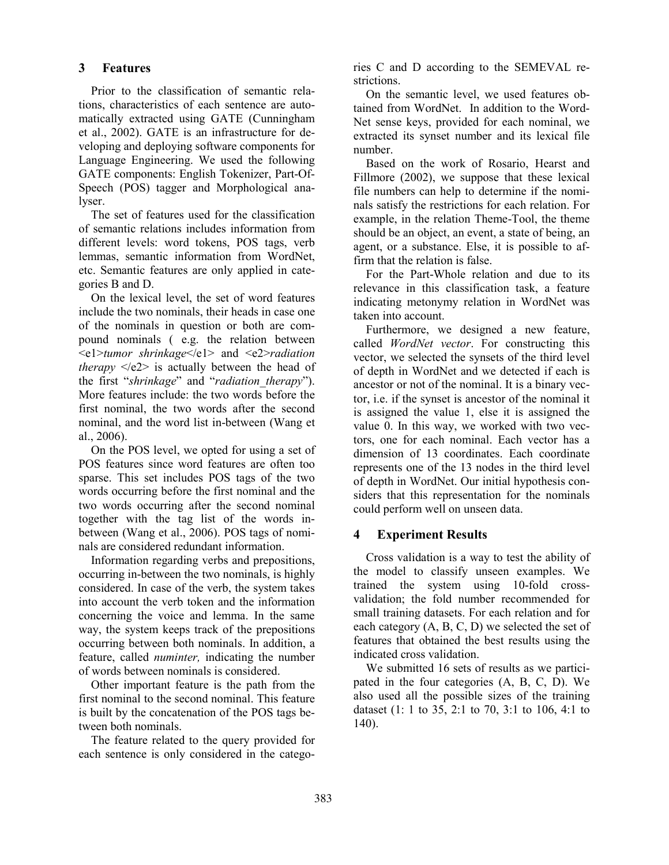## 3 Features

Prior to the classification of semantic relations, characteristics of each sentence are automatically extracted using GATE (Cunningham et al., 2002). GATE is an infrastructure for developing and deploying software components for Language Engineering. We used the following GATE components: English Tokenizer, Part-Of-Speech (POS) tagger and Morphological analyser.

The set of features used for the classification of semantic relations includes information from different levels: word tokens, POS tags, verb lemmas, semantic information from WordNet, etc. Semantic features are only applied in categories B and D.

On the lexical level, the set of word features include the two nominals, their heads in case one of the nominals in question or both are compound nominals ( e.g. the relation between <e1>tumor shrinkage</e1> and <e2>radiation *therapy*  $\langle e2 \rangle$  is actually between the head of the first "shrinkage" and "radiation therapy"). More features include: the two words before the first nominal, the two words after the second nominal, and the word list in-between (Wang et al., 2006).

On the POS level, we opted for using a set of POS features since word features are often too sparse. This set includes POS tags of the two words occurring before the first nominal and the two words occurring after the second nominal together with the tag list of the words inbetween (Wang et al., 2006). POS tags of nominals are considered redundant information.

Information regarding verbs and prepositions, occurring in-between the two nominals, is highly considered. In case of the verb, the system takes into account the verb token and the information concerning the voice and lemma. In the same way, the system keeps track of the prepositions occurring between both nominals. In addition, a feature, called numinter, indicating the number of words between nominals is considered.

Other important feature is the path from the first nominal to the second nominal. This feature is built by the concatenation of the POS tags between both nominals.

The feature related to the query provided for each sentence is only considered in the categories C and D according to the SEMEVAL restrictions.

On the semantic level, we used features obtained from WordNet. In addition to the Word-Net sense keys, provided for each nominal, we extracted its synset number and its lexical file number.

Based on the work of Rosario, Hearst and Fillmore (2002), we suppose that these lexical file numbers can help to determine if the nominals satisfy the restrictions for each relation. For example, in the relation Theme-Tool, the theme should be an object, an event, a state of being, an agent, or a substance. Else, it is possible to affirm that the relation is false.

For the Part-Whole relation and due to its relevance in this classification task, a feature indicating metonymy relation in WordNet was taken into account.

Furthermore, we designed a new feature, called WordNet vector. For constructing this vector, we selected the synsets of the third level of depth in WordNet and we detected if each is ancestor or not of the nominal. It is a binary vector, i.e. if the synset is ancestor of the nominal it is assigned the value 1, else it is assigned the value 0. In this way, we worked with two vectors, one for each nominal. Each vector has a dimension of 13 coordinates. Each coordinate represents one of the 13 nodes in the third level of depth in WordNet. Our initial hypothesis considers that this representation for the nominals could perform well on unseen data.

# 4 Experiment Results

Cross validation is a way to test the ability of the model to classify unseen examples. We trained the system using 10-fold crossvalidation; the fold number recommended for small training datasets. For each relation and for each category (A, B, C, D) we selected the set of features that obtained the best results using the indicated cross validation.

We submitted 16 sets of results as we participated in the four categories (A, B, C, D). We also used all the possible sizes of the training dataset (1: 1 to 35, 2:1 to 70, 3:1 to 106, 4:1 to 140).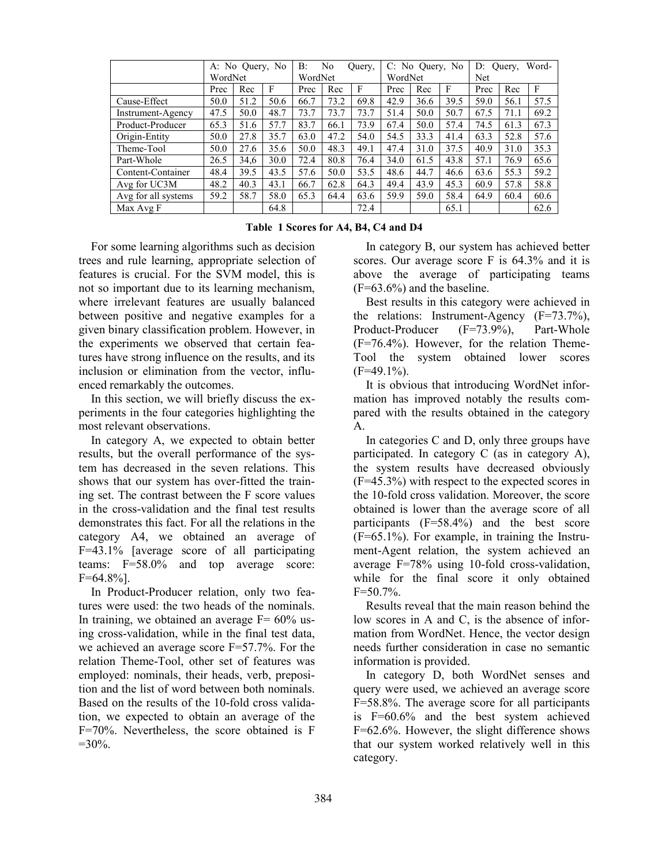|                     | No Query, No<br>A: |      |      | B:      | No   | Query, | C: No Query, No |      |      | Word-<br>$D$ :<br>Ouery. |      |      |
|---------------------|--------------------|------|------|---------|------|--------|-----------------|------|------|--------------------------|------|------|
|                     | WordNet            |      |      | WordNet |      |        | WordNet         |      |      | Net                      |      |      |
|                     | Prec               | Rec  | F    | Prec    | Rec  | F      | Prec            | Rec  | F    | Prec                     | Rec  | F    |
| Cause-Effect        | 50.0               | 51.2 | 50.6 | 66.7    | 73.2 | 69.8   | 42.9            | 36.6 | 39.5 | 59.0                     | 56.1 | 57.5 |
| Instrument-Agency   | 47.5               | 50.0 | 48.7 | 73.7    | 73.7 | 73.7   | 51.4            | 50.0 | 50.7 | 67.5                     | 71.1 | 69.2 |
| Product-Producer    | 65.3               | 51.6 | 57.7 | 83.7    | 66.1 | 73.9   | 67.4            | 50.0 | 57.4 | 74.5                     | 61.3 | 67.3 |
| Origin-Entity       | 50.0               | 27.8 | 35.7 | 63.0    | 47.2 | 54.0   | 54.5            | 33.3 | 41.4 | 63.3                     | 52.8 | 57.6 |
| Theme-Tool          | 50.0               | 27.6 | 35.6 | 50.0    | 48.3 | 49.1   | 47.4            | 31.0 | 37.5 | 40.9                     | 31.0 | 35.3 |
| Part-Whole          | 26.5               | 34.6 | 30.0 | 72.4    | 80.8 | 76.4   | 34.0            | 61.5 | 43.8 | 57.1                     | 76.9 | 65.6 |
| Content-Container   | 48.4               | 39.5 | 43.5 | 57.6    | 50.0 | 53.5   | 48.6            | 44.7 | 46.6 | 63.6                     | 55.3 | 59.2 |
| Avg for UC3M        | 48.2               | 40.3 | 43.1 | 66.7    | 62.8 | 64.3   | 49.4            | 43.9 | 45.3 | 60.9                     | 57.8 | 58.8 |
| Avg for all systems | 59.2               | 58.7 | 58.0 | 65.3    | 64.4 | 63.6   | 59.9            | 59.0 | 58.4 | 64.9                     | 60.4 | 60.6 |
| Max Avg F           |                    |      | 64.8 |         |      | 72.4   |                 |      | 65.1 |                          |      | 62.6 |

Table 1 Scores for A4, B4, C4 and D4

For some learning algorithms such as decision trees and rule learning, appropriate selection of features is crucial. For the SVM model, this is not so important due to its learning mechanism, where irrelevant features are usually balanced between positive and negative examples for a given binary classification problem. However, in the experiments we observed that certain features have strong influence on the results, and its inclusion or elimination from the vector, influenced remarkably the outcomes.

In this section, we will briefly discuss the experiments in the four categories highlighting the most relevant observations.

In category A, we expected to obtain better results, but the overall performance of the system has decreased in the seven relations. This shows that our system has over-fitted the training set. The contrast between the F score values in the cross-validation and the final test results demonstrates this fact. For all the relations in the category A4, we obtained an average of F=43.1% [average score of all participating teams: F=58.0% and top average score:  $F=64.8\%$ ].

In Product-Producer relation, only two features were used: the two heads of the nominals. In training, we obtained an average  $F = 60\%$  using cross-validation, while in the final test data, we achieved an average score F=57.7%. For the relation Theme-Tool, other set of features was employed: nominals, their heads, verb, preposition and the list of word between both nominals. Based on the results of the 10-fold cross validation, we expected to obtain an average of the F=70%. Nevertheless, the score obtained is F  $=30\%$ .

In category B, our system has achieved better scores. Our average score F is 64.3% and it is above the average of participating teams  $(F=63.6\%)$  and the baseline.

Best results in this category were achieved in the relations: Instrument-Agency (F=73.7%), Product-Producer (F=73.9%), Part-Whole (F=76.4%). However, for the relation Theme-Tool the system obtained lower scores  $(F=49.1\%)$ .

It is obvious that introducing WordNet information has improved notably the results compared with the results obtained in the category A.

In categories C and D, only three groups have participated. In category C (as in category A), the system results have decreased obviously (F=45.3%) with respect to the expected scores in the 10-fold cross validation. Moreover, the score obtained is lower than the average score of all participants (F=58.4%) and the best score (F=65.1%). For example, in training the Instrument-Agent relation, the system achieved an average F=78% using 10-fold cross-validation, while for the final score it only obtained  $F=50.7\%$ .

Results reveal that the main reason behind the low scores in A and C, is the absence of information from WordNet. Hence, the vector design needs further consideration in case no semantic information is provided.

In category D, both WordNet senses and query were used, we achieved an average score F=58.8%. The average score for all participants is F=60.6% and the best system achieved F=62.6%. However, the slight difference shows that our system worked relatively well in this category.